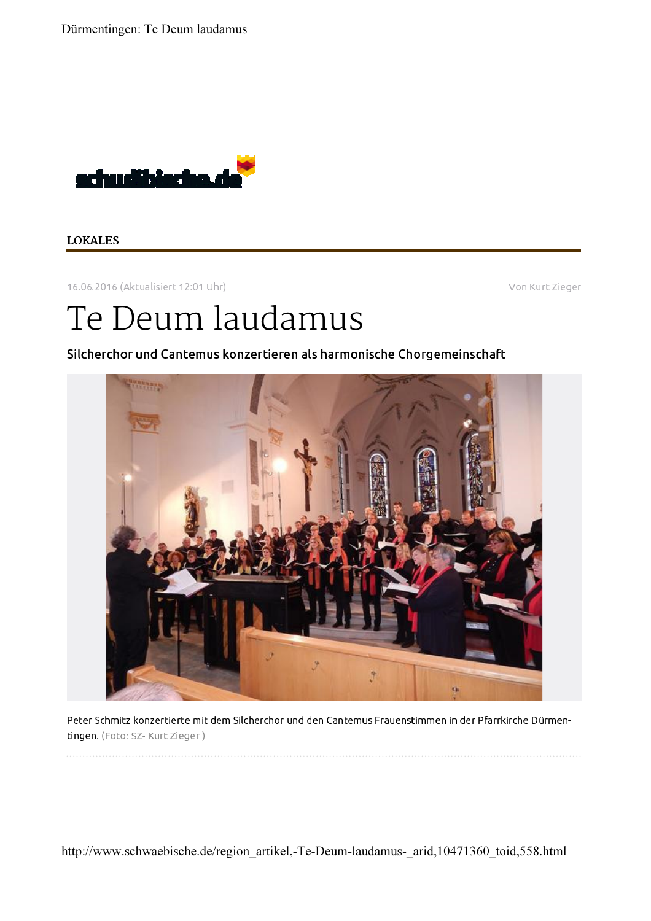Dürmentingen: Te Deum laudamus



## **LOKALES**

16.06.2016 (Aktualisiert 12:01 Uhr)

Von Kurt Zieger

## Te Deum laudamus

Silcherchor und Cantemus konzertieren als harmonische Chorgemeinschaft



Peter Schmitz konzertierte mit dem Silcherchor und den Cantemus Frauenstimmen in der Pfarrkirche Dürmentingen. (Foto: SZ-Kurt Zieger)

http://www.schwaebische.de/region artikel,-Te-Deum-laudamus- arid,10471360 toid,558.html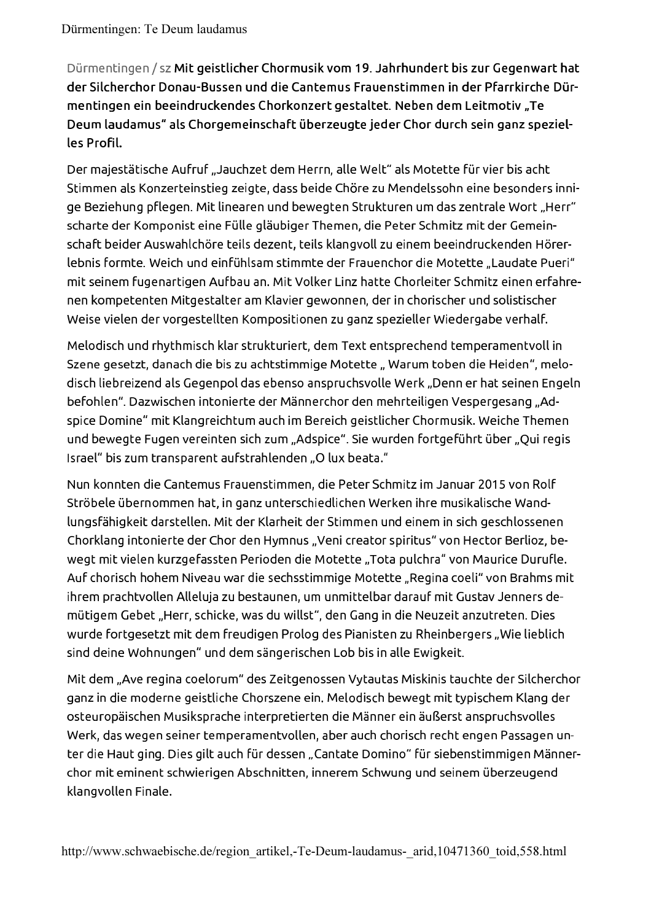Dürmentingen / sz Mit geistlicher Chormusik vom 19. Jahrhundert bis zur Gegenwart hat der Silcherchor Donau-Bussen und die Cantemus Frauenstimmen in der Pfarrkirche Dürmentingen ein beeindruckendes Chorkonzert gestaltet. Neben dem Leitmotiv "Te Deum laudamus" als Chorgemeinschaft überzeugte jeder Chor durch sein ganz spezielles Profil.

Der majestätische Aufruf "Jauchzet dem Herrn, alle Welt" als Motette für vier bis acht Stimmen als Konzerteinstieg zeigte, dass beide Chöre zu Mendelssohn eine besonders innige Beziehung pflegen. Mit linearen und bewegten Strukturen um das zentrale Wort "Herr" scharte der Komponist eine Fülle gläubiger Themen, die Peter Schmitz mit der Gemeinschaft beider Auswahlchöre teils dezent, teils klangvoll zu einem beeindruckenden Hörerlebnis formte. Weich und einfühlsam stimmte der Frauenchor die Motette "Laudate Pueri" mit seinem fugenartigen Aufbau an. Mit Volker Linz hatte Chorleiter Schmitz einen erfahrenen kompetenten Mitgestalter am Klavier gewonnen, der in chorischer und solistischer Weise vielen der vorgestellten Kompositionen zu ganz spezieller Wiedergabe verhalf.

Melodisch und rhythmisch klar strukturiert, dem Text entsprechend temperamentvoll in Szene gesetzt, danach die bis zu achtstimmige Motette "Warum toben die Heiden", melodisch liebreizend als Gegenpol das ebenso anspruchsvolle Werk "Denn er hat seinen Engeln befohlen". Dazwischen intonierte der Männerchor den mehrteiligen Vespergesang "Adspice Domine" mit Klangreichtum auch im Bereich geistlicher Chormusik. Weiche Themen und bewegte Fugen vereinten sich zum "Adspice". Sie wurden fortgeführt über "Qui regis Israel" bis zum transparent aufstrahlenden "O lux beata."

Nun konnten die Cantemus Frauenstimmen, die Peter Schmitz im Januar 2015 von Rolf Ströbele übernommen hat, in ganz unterschiedlichen Werken ihre musikalische Wandlungsfähigkeit darstellen. Mit der Klarheit der Stimmen und einem in sich geschlossenen Chorklang intonierte der Chor den Hymnus "Veni creator spiritus" von Hector Berlioz, bewegt mit vielen kurzgefassten Perioden die Motette "Tota pulchra" von Maurice Durufle. Auf chorisch hohem Niveau war die sechsstimmige Motette "Regina coeli" von Brahms mit ihrem prachtvollen Alleluja zu bestaunen, um unmittelbar darauf mit Gustav Jenners demütigem Gebet "Herr, schicke, was du willst", den Gang in die Neuzeit anzutreten. Dies wurde fortgesetzt mit dem freudigen Prolog des Pianisten zu Rheinbergers "Wie lieblich sind deine Wohnungen" und dem sängerischen Lob bis in alle Ewigkeit.

Mit dem "Ave regina coelorum" des Zeitgenossen Vytautas Miskinis tauchte der Silcherchor ganz in die moderne geistliche Chorszene ein. Melodisch bewegt mit typischem Klang der osteuropäischen Musiksprache interpretierten die Männer ein äußerst anspruchsvolles Werk, das wegen seiner temperamentvollen, aber auch chorisch recht engen Passagen unter die Haut ging. Dies gilt auch für dessen "Cantate Domino" für siebenstimmigen Männerchor mit eminent schwierigen Abschnitten, innerem Schwung und seinem überzeugend klangvollen Finale.